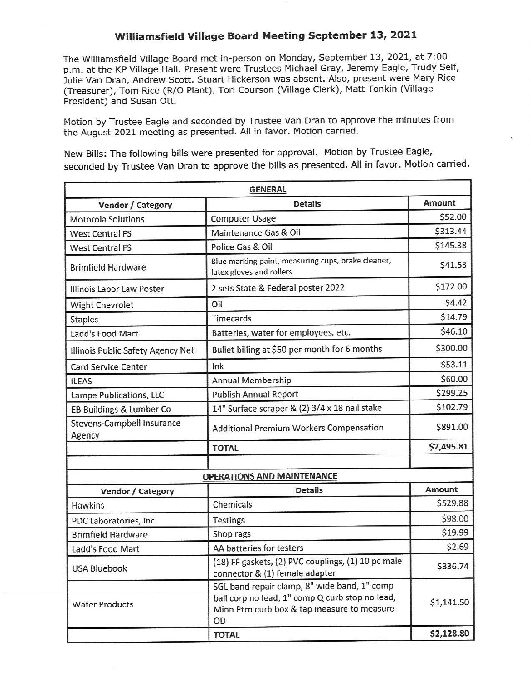## **Williamsfield Village Board Meeting September 13, 2021**

The Williamsfield Village Board met in-person on Monday, September 13, 2021, at 7:00 p.m. at the KP Village Hall. Present were Trustees Michael Gray, Jeremy Eagle, Trudy Self, Julie Van Oran, Andrew Scott. Stuart Hickerson was absent. Also, present were Mary Rice (Treasurer), Tom Rice (R/0 Plant), Tori Courson (Village Clerk), Matt Tonkin (Village President) and Susan Ott.

Motion by Trustee Eagle and seconded by Trustee Van Oran to approve the minutes from the August 2021 meeting as presented. All in favor. Motion carried.

New Bills: The following bills were presented for approval. Motion by Trustee Eagle, seconded by Trustee Van Oran to approve the bills as presented. All in favor. Motion carried.

|                                             | <b>GENERAL</b>                                                                                                                                       |            |
|---------------------------------------------|------------------------------------------------------------------------------------------------------------------------------------------------------|------------|
| Vendor / Category                           | <b>Details</b>                                                                                                                                       | Amount     |
| <b>Motorola Solutions</b>                   | <b>Computer Usage</b>                                                                                                                                | \$52.00    |
| <b>West Central FS</b>                      | Maintenance Gas & Oil                                                                                                                                | \$313.44   |
| <b>West Central FS</b>                      | Police Gas & Oil                                                                                                                                     | \$145.38   |
| <b>Brimfield Hardware</b>                   | Blue marking paint, measuring cups, brake cleaner,<br>latex gloves and rollers                                                                       | \$41.53    |
| Illinois Labor Law Poster                   | 2 sets State & Federal poster 2022                                                                                                                   | \$172.00   |
| Wight Chevrolet                             | Oil                                                                                                                                                  | \$4.42     |
| <b>Staples</b>                              | Timecards                                                                                                                                            | \$14.79    |
| Ladd's Food Mart                            | Batteries, water for employees, etc.                                                                                                                 | \$46.10    |
| Illinois Public Safety Agency Net           | Bullet billing at \$50 per month for 6 months                                                                                                        | \$300.00   |
| <b>Card Service Center</b>                  | Ink                                                                                                                                                  | \$53.11    |
| <b>ILEAS</b>                                | <b>Annual Membership</b>                                                                                                                             | \$60.00    |
| Lampe Publications, LLC                     | <b>Publish Annual Report</b>                                                                                                                         | \$299.25   |
| EB Buildings & Lumber Co                    | 14" Surface scraper & (2) 3/4 x 18 nail stake                                                                                                        | \$102.79   |
| <b>Stevens-Campbell Insurance</b><br>Agency | Additional Premium Workers Compensation                                                                                                              | \$891.00   |
|                                             | <b>TOTAL</b>                                                                                                                                         | \$2,495.81 |
|                                             | <b>OPERATIONS AND MAINTENANCE</b>                                                                                                                    |            |
| Vendor / Category                           | <b>Details</b>                                                                                                                                       | Amount     |
| <b>Hawkins</b>                              | Chemicals                                                                                                                                            | \$529.88   |
| PDC Laboratories, Inc                       | <b>Testings</b>                                                                                                                                      | \$98.00    |
| <b>Brimfield Hardware</b>                   | Shop rags                                                                                                                                            | \$19.99    |
| Ladd's Food Mart                            | AA batteries for testers                                                                                                                             | \$2.69     |
| <b>USA Bluebook</b>                         | (18) FF gaskets, (2) PVC couplings, (1) 10 pc male<br>connector & (1) female adapter                                                                 | \$336.74   |
| <b>Water Products</b>                       | SGL band repair clamp, 8" wide band, 1" comp<br>ball corp no lead, 1" comp Q curb stop no lead,<br>Minn Ptrn curb box & tap measure to measure<br>OD | \$1,141.50 |
|                                             | <b>TOTAL</b>                                                                                                                                         | \$2,128.80 |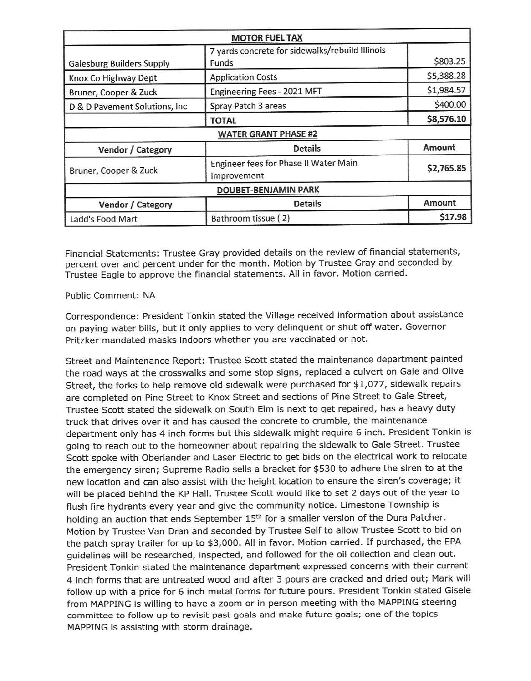|                                  | <b>MOTOR FUEL TAX</b>                                    |            |
|----------------------------------|----------------------------------------------------------|------------|
| <b>Galesburg Builders Supply</b> | 7 yards concrete for sidewalks/rebuild Illinois<br>Funds | \$803.25   |
| Knox Co Highway Dept             | <b>Application Costs</b>                                 | \$5,388.28 |
| Bruner, Cooper & Zuck            | Engineering Fees - 2021 MFT                              | \$1,984.57 |
| D & D Pavement Solutions, Inc.   | Spray Patch 3 areas                                      | \$400.00   |
|                                  | <b>TOTAL</b>                                             | \$8,576.10 |
|                                  | <b>WATER GRANT PHASE #2</b>                              |            |
| Vendor / Category                | <b>Details</b>                                           | Amount     |
| Bruner, Cooper & Zuck            | Engineer fees for Phase II Water Main<br>Improvement     | \$2,765.85 |
|                                  | <b>DOUBET-BENJAMIN PARK</b>                              |            |
| Vendor / Category                | <b>Details</b>                                           | Amount     |
| Ladd's Food Mart                 | Bathroom tissue (2)                                      | \$17.98    |

Financial Statements: Trustee Gray provided details on the review of financial statements, percent over and percent under for the month. Motion by Trustee Gray and seconded by Trustee Eagle to approve the financial statements. All in favor. Motion carried.

## Public Comment: NA

Correspondence: President Tonkin stated the Village received information about assistance on paying water bills, but it only applies to very delinquent or shut off water. Governor Pritzker mandated masks indoors whether you are vaccinated or not.

Street and Maintenance Report: Trustee Scott stated the maintenance department painted the road ways at the crosswalks and some stop signs, replaced a culvert on Gale and Olive Street, the forks to help remove old sidewalk were purchased for \$1,077, sidewalk repairs are completed on Pine Street to Knox Street and sections of Pine Street to Gale Street, Trustee Scott stated the sidewalk on South Elm is next to get repaired, has a heavy duty truck that drives over it and has caused the concrete to crumble, the maintenance department only has 4 inch forms but this sidewalk might require 6 inch. President Tonkin is going to reach out to the homeowner about repairing the sidewalk to Gale Street. Trustee Scott spoke with Oberlander and Laser Electric to get bids on the electrical work to relocate the emergency siren; Supreme Radio sells a bracket for \$530 to adhere the siren to at the new location and can also assist with the height location to ensure the siren's coverage; it will be placed behind the KP Hall. Trustee Scott would like to set 2 days out of the year to flush fire hydrants every year and give the community notice. Limestone Township is holding an auction that ends September 15<sup>th</sup> for a smaller version of the Dura Patcher. Motion by Trustee Van Oran and seconded by Trustee Self to allow Trustee Scott to bid on the patch spray trailer for up to \$3,000. All in favor. Motion carried. If purchased, the EPA guidelines will be researched, inspected, and followed for the oil collection and clean out. President Tonkin stated the maintenance department expressed concerns with their current 4 inch forms that are untreated wood and after 3 pours are cracked and dried out; Mark will follow up with a price for 6 inch metal forms for future pours. President Tonkin stated Gisele from MAPPING is willing to have a zoom or in person meeting with the MAPPING steering committee to follow up to revisit past goals and make future goals; one of the topics MAPPING is assisting with storm drainage.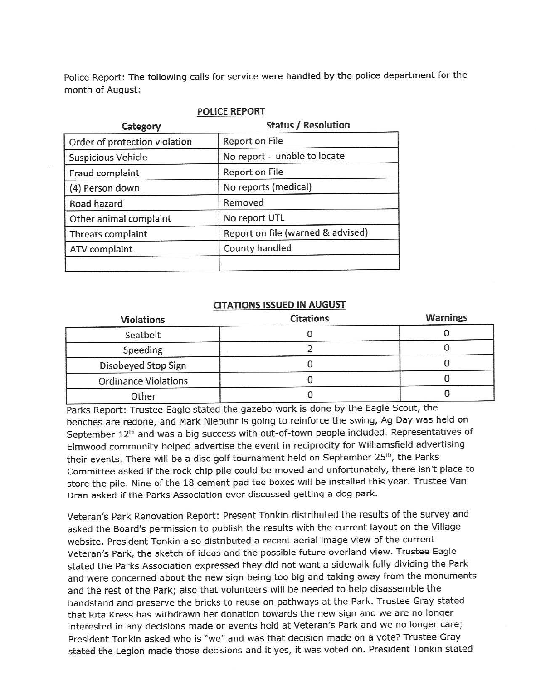Police Report: The following calls for service were handled by the police department for the month of August:

| Category                      | <b>Status / Resolution</b>        |  |
|-------------------------------|-----------------------------------|--|
| Order of protection violation | Report on File                    |  |
| <b>Suspicious Vehicle</b>     | No report - unable to locate      |  |
| Fraud complaint               | Report on File                    |  |
| (4) Person down               | No reports (medical)              |  |
| Road hazard                   | Removed                           |  |
| Other animal complaint        | No report UTL                     |  |
| Threats complaint             | Report on file (warned & advised) |  |
| ATV complaint                 | County handled                    |  |

## **POLICE REPORT**

## **CITATIONS ISSUED IN AUGUST**

| <b>Violations</b>           | <b>Citations</b> | <b>Warnings</b> |
|-----------------------------|------------------|-----------------|
| Seatbelt                    |                  |                 |
| Speeding                    |                  |                 |
| Disobeyed Stop Sign         |                  |                 |
| <b>Ordinance Violations</b> |                  |                 |
| Other                       |                  |                 |

Parks Report: Trustee Eagle stated the gazebo work is done by the Eagle Scout, the benches are redone, and Mark Niebuhr is going to reinforce the swing, Ag Day was held on September 12<sup>th</sup> and was a big success with out-of-town people included. Representatives of Elmwood community helped advertise the event in reciprocity for Williamsfield advertising their events. There will be a disc golf tournament held on September 25<sup>th</sup>, the Parks Committee asked if the rock chip pile could be moved and unfortunately, there isn't place to store the pile. Nine of the 18 cement pad tee boxes will be installed this year. Trustee Van Oran asked if the Parks Association ever discussed getting a dog park.

Veteran's Park Renovation Report: Present Tonkin distributed the results of the survey and asked the Board's permission to publish the results with the current layout on the Village website. President Tonkin also distributed a recent aerial image view of the current Veteran's Park, the sketch of ideas and the possible future overland view. Trustee Eagle stated the Parks Association expressed they did not want a sidewalk fully dividing the Park and were concerned about the new sign being too big and taking away from the monuments and the rest of the Park; also that volunteers will be needed to help disassemble the bandstand and preserve the bricks to reuse on pathways at the Park. Trustee Gray stated that Rita Kress has withdrawn her donation towards the new sign and we are no longer interested in any decisions made or events held at Veteran's Park and we no longer care; President Tonkin asked who is "we" and was that decision made on a vote? Trustee Gray stated the Legion made those decisions and it yes, it was voted on. President Tonkin stated